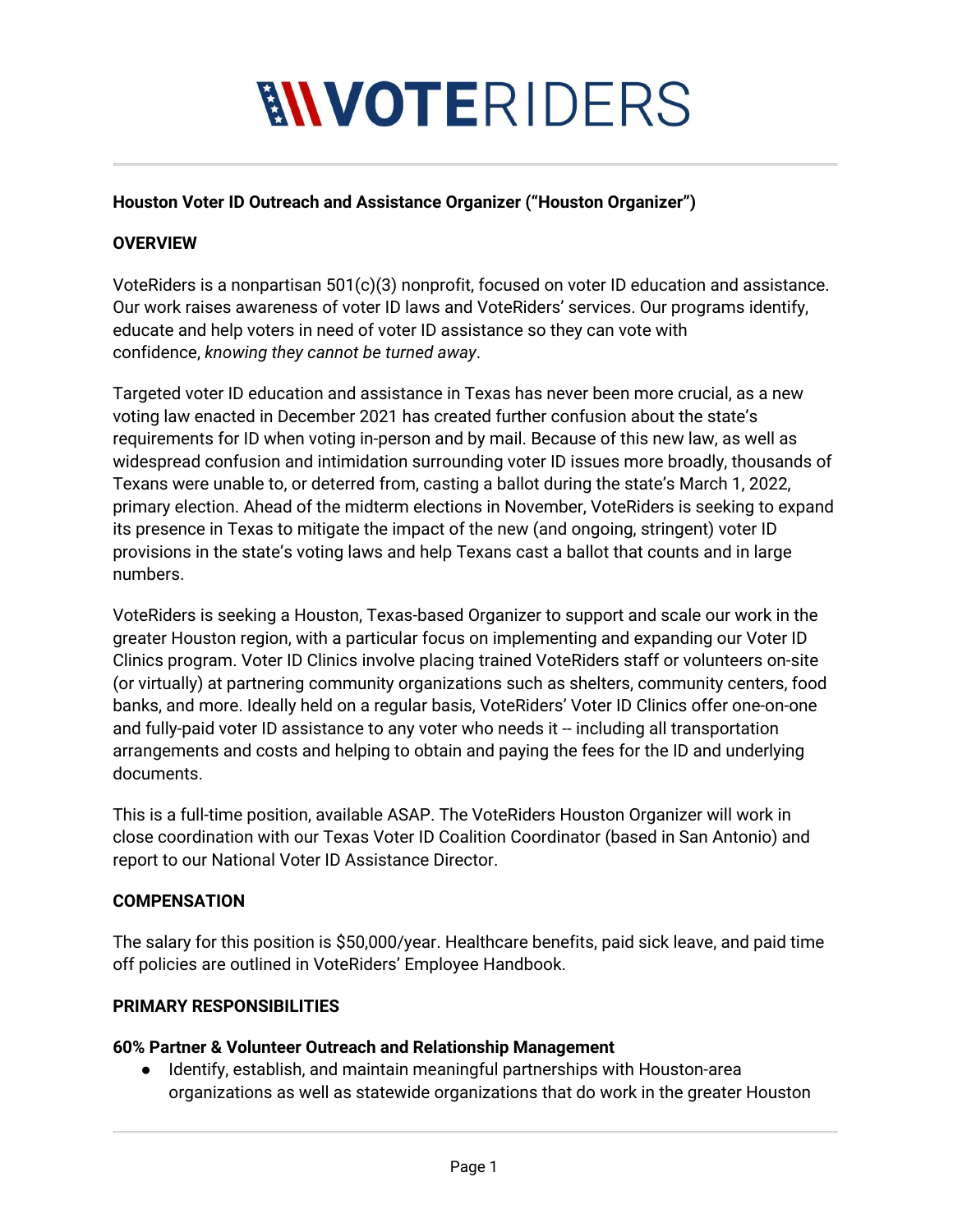# **MVOTERIDERS**

#### **Houston Voter ID Outreach and Assistance Organizer ("Houston Organizer")**

#### **OVERVIEW**

VoteRiders is a nonpartisan 501(c)(3) nonprofit, focused on voter ID education and assistance. Our work raises awareness of voter ID laws and VoteRiders' services. Our programs identify, educate and help voters in need of voter ID assistance so they can vote with confidence, *knowing they cannot be turned away*.

Targeted voter ID education and assistance in Texas has never been more crucial, as a new voting law enacted in December 2021 has created further confusion about the state's requirements for ID when voting in-person and by mail. Because of this new law, as well as widespread confusion and intimidation surrounding voter ID issues more broadly, thousands of Texans were unable to, or deterred from, casting a ballot during the state's March 1, 2022, primary election. Ahead of the midterm elections in November, VoteRiders is seeking to expand its presence in Texas to mitigate the impact of the new (and ongoing, stringent) voter ID provisions in the state's voting laws and help Texans cast a ballot that counts and in large numbers.

VoteRiders is seeking a Houston, Texas-based Organizer to support and scale our work in the greater Houston region, with a particular focus on implementing and expanding our Voter ID Clinics program. Voter ID Clinics involve placing trained VoteRiders staff or volunteers on-site (or virtually) at partnering community organizations such as shelters, community centers, food banks, and more. Ideally held on a regular basis, VoteRiders' Voter ID Clinics offer one-on-one and fully-paid voter ID assistance to any voter who needs it -- including all transportation arrangements and costs and helping to obtain and paying the fees for the ID and underlying documents.

This is a full-time position, available ASAP. The VoteRiders Houston Organizer will work in close coordination with our Texas Voter ID Coalition Coordinator (based in San Antonio) and report to our National Voter ID Assistance Director.

#### **COMPENSATION**

The salary for this position is \$50,000/year. Healthcare benefits, paid sick leave, and paid time off policies are outlined in VoteRiders' Employee Handbook.

#### **PRIMARY RESPONSIBILITIES**

#### **60% Partner & Volunteer Outreach and Relationship Management**

● Identify, establish, and maintain meaningful partnerships with Houston-area organizations as well as statewide organizations that do work in the greater Houston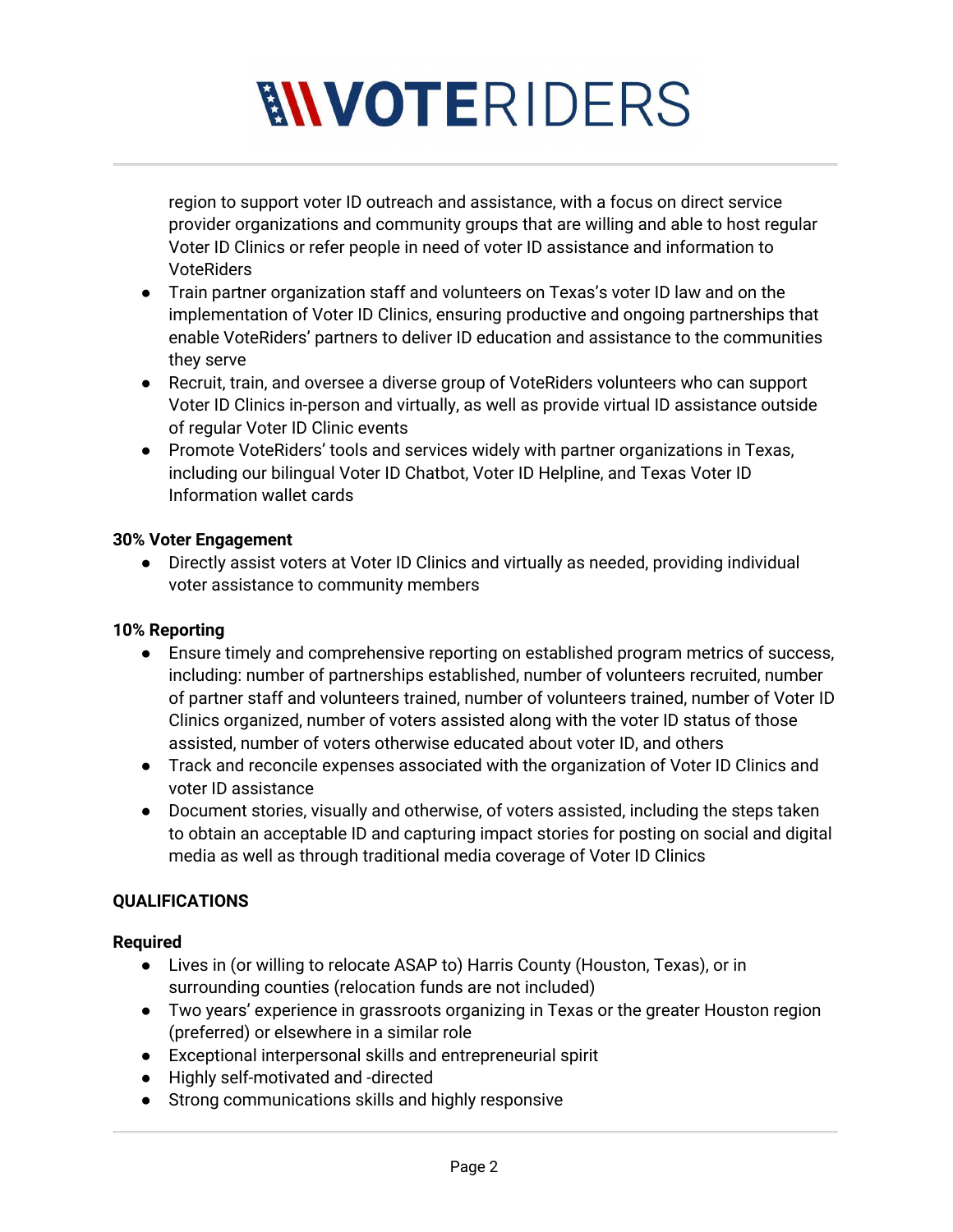# **MVOTERIDERS**

region to support voter ID outreach and assistance, with a focus on direct service provider organizations and community groups that are willing and able to host regular Voter ID Clinics or refer people in need of voter ID assistance and information to VoteRiders

- Train partner organization staff and volunteers on Texas's voter ID law and on the implementation of Voter ID Clinics, ensuring productive and ongoing partnerships that enable VoteRiders' partners to deliver ID education and assistance to the communities they serve
- Recruit, train, and oversee a diverse group of VoteRiders volunteers who can support Voter ID Clinics in-person and virtually, as well as provide virtual ID assistance outside of regular Voter ID Clinic events
- Promote VoteRiders' tools and services widely with partner organizations in Texas, including our bilingual Voter ID Chatbot, Voter ID Helpline, and Texas Voter ID Information wallet cards

#### **30% Voter Engagement**

● Directly assist voters at Voter ID Clinics and virtually as needed, providing individual voter assistance to community members

#### **10% Reporting**

- Ensure timely and comprehensive reporting on established program metrics of success, including: number of partnerships established, number of volunteers recruited, number of partner staff and volunteers trained, number of volunteers trained, number of Voter ID Clinics organized, number of voters assisted along with the voter ID status of those assisted, number of voters otherwise educated about voter ID, and others
- Track and reconcile expenses associated with the organization of Voter ID Clinics and voter ID assistance
- Document stories, visually and otherwise, of voters assisted, including the steps taken to obtain an acceptable ID and capturing impact stories for posting on social and digital media as well as through traditional media coverage of Voter ID Clinics

### **QUALIFICATIONS**

#### **Required**

- Lives in (or willing to relocate ASAP to) Harris County (Houston, Texas), or in surrounding counties (relocation funds are not included)
- Two years' experience in grassroots organizing in Texas or the greater Houston region (preferred) or elsewhere in a similar role
- Exceptional interpersonal skills and entrepreneurial spirit
- Highly self-motivated and -directed
- Strong communications skills and highly responsive